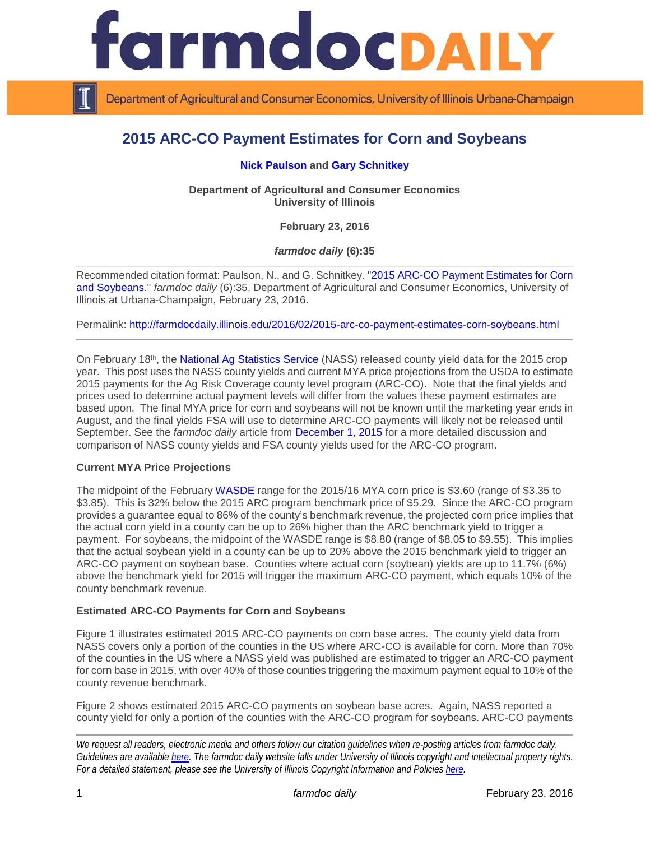

Department of Agricultural and Consumer Economics, University of Illinois Urbana-Champaign

# **2015 ARC-CO Payment Estimates for Corn and Soybeans**

# **[Nick Paulson](http://farmdoc.illinois.edu/paulson) and [Gary Schnitkey](http://farmdoc.illinois.edu/schnitkey)**

**Department of Agricultural and Consumer Economics University of Illinois**

**February 23, 2016**

*farmdoc daily* **(6):35**

Recommended citation format: Paulson, N., and G. Schnitkey. ["2015 ARC-CO Payment Estimates for Corn](http://farmdocdaily.illinois.edu/2016/02/2015-arc-co-payment-estimates-corn-soybeans.html)  [and Soybeans.](http://farmdocdaily.illinois.edu/2016/02/2015-arc-co-payment-estimates-corn-soybeans.html)" *farmdoc daily* (6):35, Department of Agricultural and Consumer Economics, University of Illinois at Urbana-Champaign, February 23, 2016.

Permalink: <http://farmdocdaily.illinois.edu/2016/02/2015-arc-co-payment-estimates-corn-soybeans.html>

On February 18th, the [National Ag Statistics Service](http://www.nass.usda.gov/) (NASS) released county yield data for the 2015 crop year. This post uses the NASS county yields and current MYA price projections from the USDA to estimate 2015 payments for the Ag Risk Coverage county level program (ARC-CO). Note that the final yields and prices used to determine actual payment levels will differ from the values these payment estimates are based upon. The final MYA price for corn and soybeans will not be known until the marketing year ends in August, and the final yields FSA will use to determine ARC-CO payments will likely not be released until September. See the *farmdoc daily* article from [December 1, 2015](http://farmdocdaily.illinois.edu/2015/12/fsa-yields-used-in-computing-arc-co-payments.html) for a more detailed discussion and comparison of NASS county yields and FSA county yields used for the ARC-CO program.

#### **Current MYA Price Projections**

The midpoint of the February [WASDE](http://www.usda.gov/oce/commodity/wasde/) range for the 2015/16 MYA corn price is \$3.60 (range of \$3.35 to \$3.85). This is 32% below the 2015 ARC program benchmark price of \$5.29. Since the ARC-CO program provides a guarantee equal to 86% of the county's benchmark revenue, the projected corn price implies that the actual corn yield in a county can be up to 26% higher than the ARC benchmark yield to trigger a payment. For soybeans, the midpoint of the WASDE range is \$8.80 (range of \$8.05 to \$9.55). This implies that the actual soybean yield in a county can be up to 20% above the 2015 benchmark yield to trigger an ARC-CO payment on soybean base. Counties where actual corn (soybean) yields are up to 11.7% (6%) above the benchmark yield for 2015 will trigger the maximum ARC-CO payment, which equals 10% of the county benchmark revenue.

#### **Estimated ARC-CO Payments for Corn and Soybeans**

Figure 1 illustrates estimated 2015 ARC-CO payments on corn base acres. The county yield data from NASS covers only a portion of the counties in the US where ARC-CO is available for corn. More than 70% of the counties in the US where a NASS yield was published are estimated to trigger an ARC-CO payment for corn base in 2015, with over 40% of those counties triggering the maximum payment equal to 10% of the county revenue benchmark.

Figure 2 shows estimated 2015 ARC-CO payments on soybean base acres. Again, NASS reported a county yield for only a portion of the counties with the ARC-CO program for soybeans. ARC-CO payments

*We request all readers, electronic media and others follow our citation guidelines when re-posting articles from farmdoc daily. Guidelines are available [here.](http://farmdocdaily.illinois.edu/citationguide.html) The farmdoc daily website falls under University of Illinois copyright and intellectual property rights. For a detailed statement, please see the University of Illinois Copyright Information and Policies [here.](http://www.cio.illinois.edu/policies/copyright/)*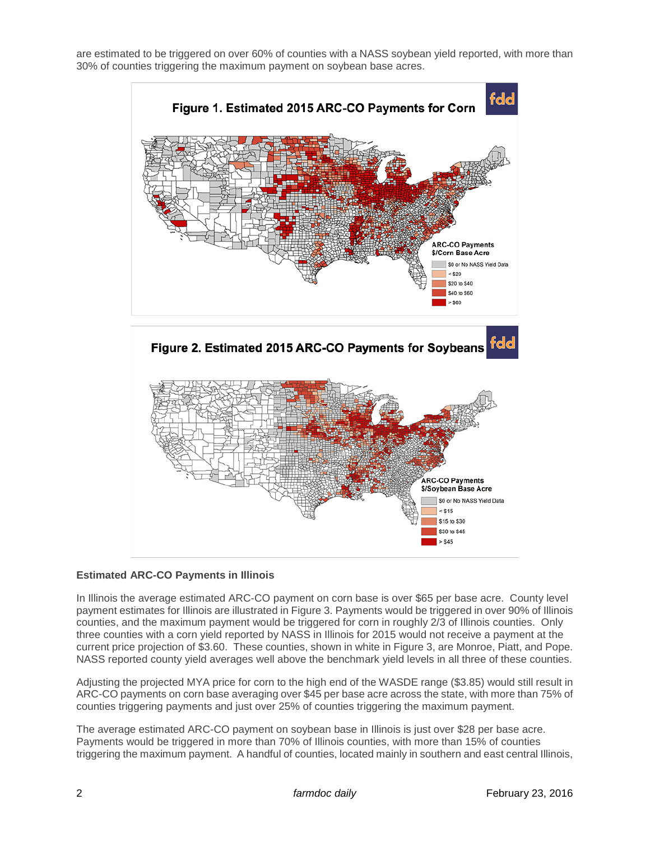are estimated to be triggered on over 60% of counties with a NASS soybean yield reported, with more than 30% of counties triggering the maximum payment on soybean base acres.



# **Estimated ARC-CO Payments in Illinois**

In Illinois the average estimated ARC-CO payment on corn base is over \$65 per base acre. County level payment estimates for Illinois are illustrated in Figure 3. Payments would be triggered in over 90% of Illinois counties, and the maximum payment would be triggered for corn in roughly 2/3 of Illinois counties. Only three counties with a corn yield reported by NASS in Illinois for 2015 would not receive a payment at the current price projection of \$3.60. These counties, shown in white in Figure 3, are Monroe, Piatt, and Pope. NASS reported county yield averages well above the benchmark yield levels in all three of these counties.

Adjusting the projected MYA price for corn to the high end of the WASDE range (\$3.85) would still result in ARC-CO payments on corn base averaging over \$45 per base acre across the state, with more than 75% of counties triggering payments and just over 25% of counties triggering the maximum payment.

The average estimated ARC-CO payment on soybean base in Illinois is just over \$28 per base acre. Payments would be triggered in more than 70% of Illinois counties, with more than 15% of counties triggering the maximum payment. A handful of counties, located mainly in southern and east central Illinois,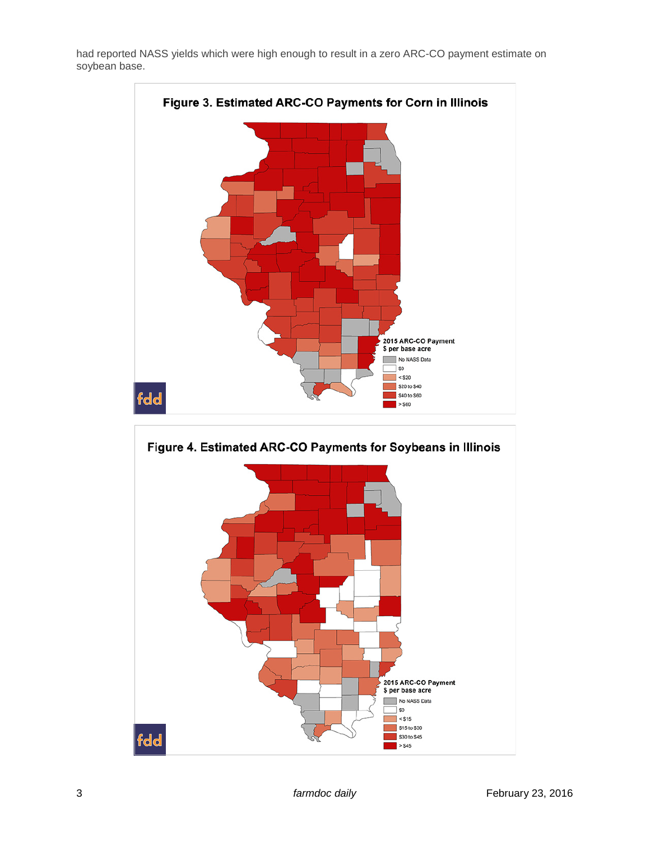had reported NASS yields which were high enough to result in a zero ARC-CO payment estimate on soybean base.